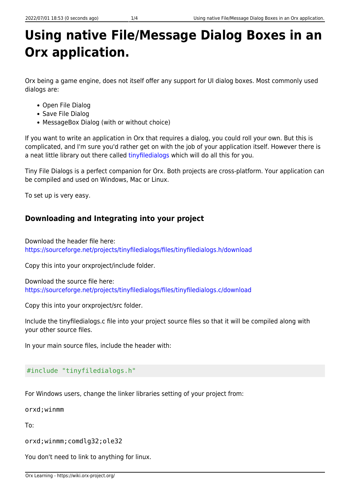# **Using native File/Message Dialog Boxes in an Orx application.**

Orx being a game engine, does not itself offer any support for UI dialog boxes. Most commonly used dialogs are:

- Open File Dialog
- Save File Dialog
- MessageBox Dialog (with or without choice)

If you want to write an application in Orx that requires a dialog, you could roll your own. But this is complicated, and I'm sure you'd rather get on with the job of your application itself. However there is a neat little library out there called [tinyfiledialogs](https://sourceforge.net/projects/tinyfiledialogs) which will do all this for you.

Tiny File Dialogs is a perfect companion for Orx. Both projects are cross-platform. Your application can be compiled and used on Windows, Mac or Linux.

To set up is very easy.

# **Downloading and Integrating into your project**

Download the header file here: <https://sourceforge.net/projects/tinyfiledialogs/files/tinyfiledialogs.h/download>

Copy this into your orxproject/include folder.

Download the source file here: <https://sourceforge.net/projects/tinyfiledialogs/files/tinyfiledialogs.c/download>

Copy this into your orxproject/src folder.

Include the tinyfiledialogs.c file into your project source files so that it will be compiled along with your other source files.

In your main source files, include the header with:

#### #include "tinyfiledialogs.h"

For Windows users, change the linker libraries setting of your project from:

orxd;winmm

To:

orxd;winmm;comdlg32;ole32

You don't need to link to anything for linux.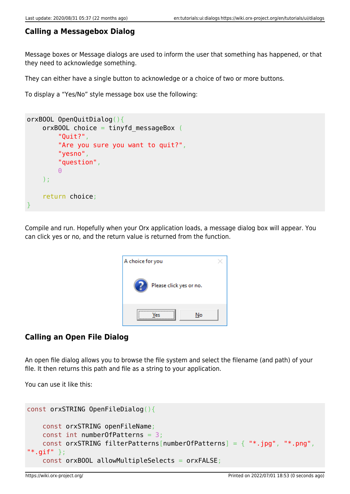### **Calling a Messagebox Dialog**

Message boxes or Message dialogs are used to inform the user that something has happened, or that they need to acknowledge something.

They can either have a single button to acknowledge or a choice of two or more buttons.

To display a "Yes/No" style message box use the following:

```
orxBOOL OpenQuitDialog(){
       orxBOOL choice = tinyfd messageBox (
               "Quit?",
               "Are you sure you want to quit?",
               "yesno",
               "question",
0 de 10 de 10 de 10 de 10 de 10 de 10 de 10 de 10 de 10 de 10 de 10 de 10 de 10 de 10 de 10 de 10 de 10 de 10 
        );
        return choice;
}
```
Compile and run. Hopefully when your Orx application loads, a message dialog box will appear. You can click yes or no, and the return value is returned from the function.

| A choice for you        |  |
|-------------------------|--|
| Please click yes or no. |  |
| No                      |  |

### **Calling an Open File Dialog**

An open file dialog allows you to browse the file system and select the filename (and path) of your file. It then returns this path and file as a string to your application.

You can use it like this:

```
const orxSTRING OpenFileDialog(){
    const orxSTRING openFileName;
     const int numberOfPatterns = 3;
    const orxSTRING filterPatterns[numberOfPatterns] = { "*.jpg", "*.png",
"*.gif" };
     const orxBOOL allowMultipleSelects = orxFALSE;
```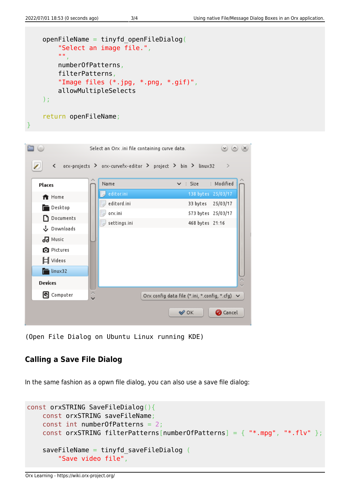```
 openFileName = tinyfd_openFileDialog(
             "Select an image file.",
             "",
             numberOfPatterns,
             filterPatterns,
             "Image files (*.jpg, *.png, *.gif)",
            allowMultipleSelects
      );
       return openFileName;
}
                                                                            \circledcirc \circledcirc \times\exists \odotSelect an Orx .ini file containing curve data.
            orx-projects > orx-curvefx-editor > project > bin > linux32
         \overline{\phantom{0}}\mathcal{L}Name
                                                          \vee : Size
                                                                       : Modified
    Places
                             editor.ini
                                                               138 bytes 25/03/17
     ft Home
                            editord.ini
                                                               33 bytes 25/03/17
     Desktop
                            D orx.ini
                                                               573 bytes 25/03/17
     Documents
                                                               468 bytes 21:16
                            settings.ini
     も Downloads
     99 Music
     O Pictures
     ∐ Videos
     \Box linux32
    Devices
     Computer
                                             Orx config data file (*.ini, *.config, *.cfg) ∨
                                                           \curvearrowleft OK
                                                                          O Cancel
```
(Open File Dialog on Ubuntu Linux running KDE)

# **Calling a Save File Dialog**

In the same fashion as a opwn file dialog, you can also use a save file dialog:

```
const orxSTRING SaveFileDialog(){
    const orxSTRING saveFileName;
     const int numberOfPatterns = 2;
    const orxSTRING filterPatterns[numberOfPatterns] = { "*.mpq", "*.flv" };
     saveFileName = tinyfd_saveFileDialog (
         "Save video file",
```